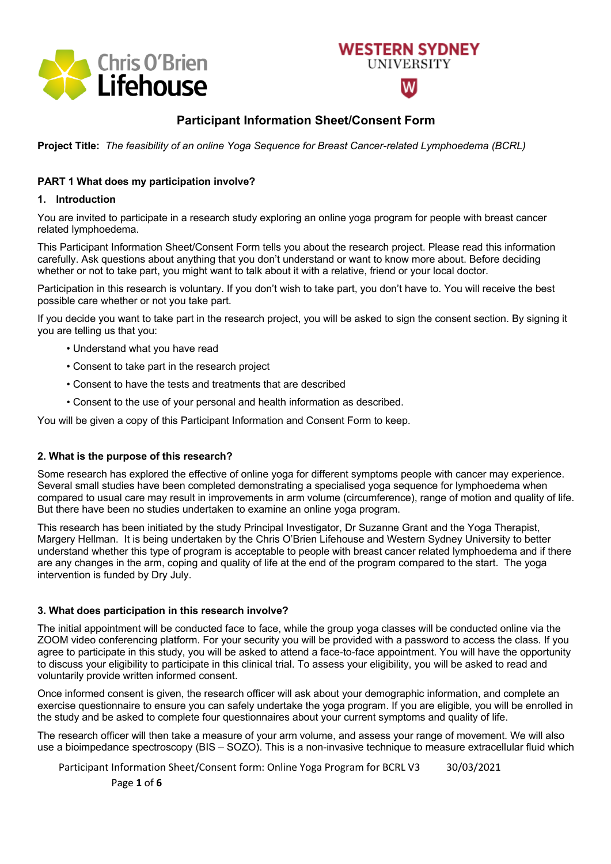

# **Participant Information Sheet/Consent Form**

**WESTERN SYDNEY** 

**UNIVERSITY** 

**Project Title:** *The feasibility of an online Yoga Sequence for Breast Cancer-related Lymphoedema (BCRL)*

#### **PART 1 What does my participation involve?**

#### **1. Introduction**

You are invited to participate in a research study exploring an online yoga program for people with breast cancer related lymphoedema.

This Participant Information Sheet/Consent Form tells you about the research project. Please read this information carefully. Ask questions about anything that you don't understand or want to know more about. Before deciding whether or not to take part, you might want to talk about it with a relative, friend or your local doctor.

Participation in this research is voluntary. If you don't wish to take part, you don't have to. You will receive the best possible care whether or not you take part.

If you decide you want to take part in the research project, you will be asked to sign the consent section. By signing it you are telling us that you:

- Understand what you have read
- Consent to take part in the research project
- Consent to have the tests and treatments that are described
- Consent to the use of your personal and health information as described.

You will be given a copy of this Participant Information and Consent Form to keep.

#### **2. What is the purpose of this research?**

Some research has explored the effective of online yoga for different symptoms people with cancer may experience. Several small studies have been completed demonstrating a specialised yoga sequence for lymphoedema when compared to usual care may result in improvements in arm volume (circumference), range of motion and quality of life. But there have been no studies undertaken to examine an online yoga program.

This research has been initiated by the study Principal Investigator, Dr Suzanne Grant and the Yoga Therapist, Margery Hellman. It is being undertaken by the Chris O'Brien Lifehouse and Western Sydney University to better understand whether this type of program is acceptable to people with breast cancer related lymphoedema and if there are any changes in the arm, coping and quality of life at the end of the program compared to the start. The yoga intervention is funded by Dry July.

#### **3. What does participation in this research involve?**

The initial appointment will be conducted face to face, while the group yoga classes will be conducted online via the ZOOM video conferencing platform. For your security you will be provided with a password to access the class. If you agree to participate in this study, you will be asked to attend a face-to-face appointment. You will have the opportunity to discuss your eligibility to participate in this clinical trial. To assess your eligibility, you will be asked to read and voluntarily provide written informed consent.

Once informed consent is given, the research officer will ask about your demographic information, and complete an exercise questionnaire to ensure you can safely undertake the yoga program. If you are eligible, you will be enrolled in the study and be asked to complete four questionnaires about your current symptoms and quality of life.

The research officer will then take a measure of your arm volume, and assess your range of movement. We will also use a bioimpedance spectroscopy (BIS – SOZO). This is a non-invasive technique to measure extracellular fluid which

Participant Information Sheet/Consent form: Online Yoga Program for BCRL V3 30/03/2021

Page **1** of **6**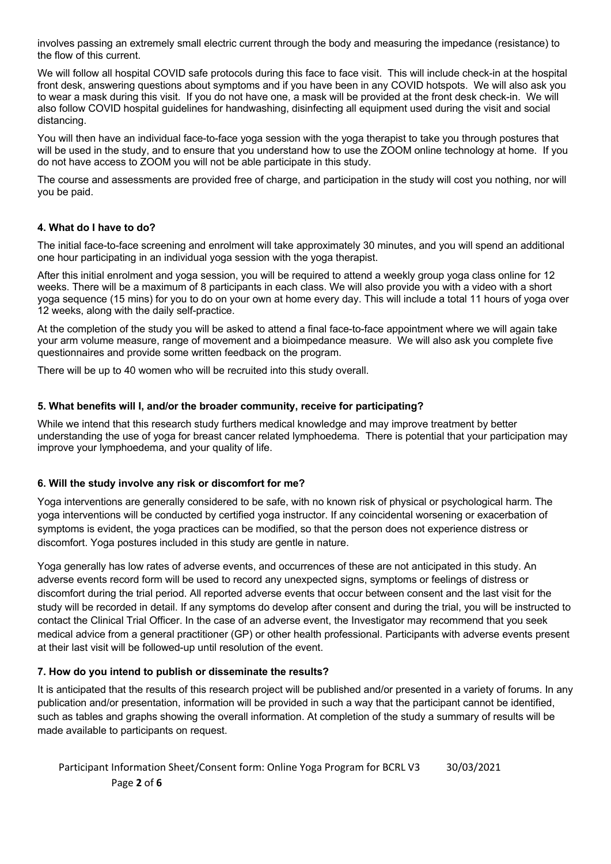involves passing an extremely small electric current through the body and measuring the impedance (resistance) to the flow of this current.

We will follow all hospital COVID safe protocols during this face to face visit. This will include check-in at the hospital front desk, answering questions about symptoms and if you have been in any COVID hotspots. We will also ask you to wear a mask during this visit. If you do not have one, a mask will be provided at the front desk check-in. We will also follow COVID hospital guidelines for handwashing, disinfecting all equipment used during the visit and social distancing.

You will then have an individual face-to-face yoga session with the yoga therapist to take you through postures that will be used in the study, and to ensure that you understand how to use the ZOOM online technology at home. If you do not have access to ZOOM you will not be able participate in this study.

The course and assessments are provided free of charge, and participation in the study will cost you nothing, nor will you be paid.

#### **4. What do I have to do?**

The initial face-to-face screening and enrolment will take approximately 30 minutes, and you will spend an additional one hour participating in an individual yoga session with the yoga therapist.

After this initial enrolment and yoga session, you will be required to attend a weekly group yoga class online for 12 weeks. There will be a maximum of 8 participants in each class. We will also provide you with a video with a short yoga sequence (15 mins) for you to do on your own at home every day. This will include a total 11 hours of yoga over 12 weeks, along with the daily self-practice.

At the completion of the study you will be asked to attend a final face-to-face appointment where we will again take your arm volume measure, range of movement and a bioimpedance measure. We will also ask you complete five questionnaires and provide some written feedback on the program.

There will be up to 40 women who will be recruited into this study overall.

#### **5. What benefits will I, and/or the broader community, receive for participating?**

While we intend that this research study furthers medical knowledge and may improve treatment by better understanding the use of yoga for breast cancer related lymphoedema. There is potential that your participation may improve your lymphoedema, and your quality of life.

#### **6. Will the study involve any risk or discomfort for me?**

Yoga interventions are generally considered to be safe, with no known risk of physical or psychological harm. The yoga interventions will be conducted by certified yoga instructor. If any coincidental worsening or exacerbation of symptoms is evident, the yoga practices can be modified, so that the person does not experience distress or discomfort. Yoga postures included in this study are gentle in nature.

Yoga generally has low rates of adverse events, and occurrences of these are not anticipated in this study. An adverse events record form will be used to record any unexpected signs, symptoms or feelings of distress or discomfort during the trial period. All reported adverse events that occur between consent and the last visit for the study will be recorded in detail. If any symptoms do develop after consent and during the trial, you will be instructed to contact the Clinical Trial Officer. In the case of an adverse event, the Investigator may recommend that you seek medical advice from a general practitioner (GP) or other health professional. Participants with adverse events present at their last visit will be followed-up until resolution of the event.

### **7. How do you intend to publish or disseminate the results?**

It is anticipated that the results of this research project will be published and/or presented in a variety of forums. In any publication and/or presentation, information will be provided in such a way that the participant cannot be identified, such as tables and graphs showing the overall information. At completion of the study a summary of results will be made available to participants on request.

# Participant Information Sheet/Consent form: Online Yoga Program for BCRL V3 30/03/2021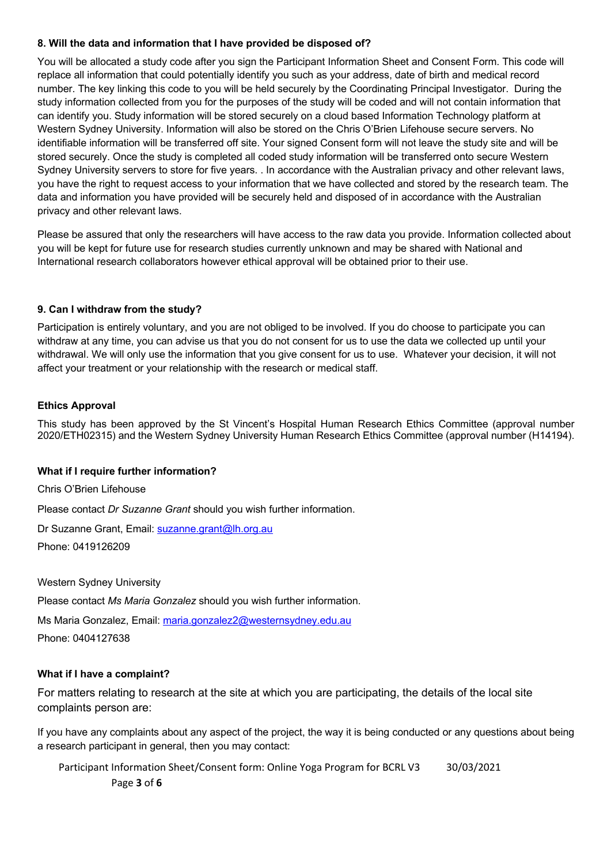#### **8. Will the data and information that I have provided be disposed of?**

You will be allocated a study code after you sign the Participant Information Sheet and Consent Form. This code will replace all information that could potentially identify you such as your address, date of birth and medical record number. The key linking this code to you will be held securely by the Coordinating Principal Investigator. During the study information collected from you for the purposes of the study will be coded and will not contain information that can identify you. Study information will be stored securely on a cloud based Information Technology platform at Western Sydney University. Information will also be stored on the Chris O'Brien Lifehouse secure servers. No identifiable information will be transferred off site. Your signed Consent form will not leave the study site and will be stored securely. Once the study is completed all coded study information will be transferred onto secure Western Sydney University servers to store for five years. . In accordance with the Australian privacy and other relevant laws, you have the right to request access to your information that we have collected and stored by the research team. The data and information you have provided will be securely held and disposed of in accordance with the Australian privacy and other relevant laws.

Please be assured that only the researchers will have access to the raw data you provide. Information collected about you will be kept for future use for research studies currently unknown and may be shared with National and International research collaborators however ethical approval will be obtained prior to their use.

#### **9. Can I withdraw from the study?**

Participation is entirely voluntary, and you are not obliged to be involved. If you do choose to participate you can withdraw at any time, you can advise us that you do not consent for us to use the data we collected up until your withdrawal. We will only use the information that you give consent for us to use. Whatever your decision, it will not affect your treatment or your relationship with the research or medical staff.

#### **Ethics Approval**

This study has been approved by the St Vincent's Hospital Human Research Ethics Committee (approval number 2020/ETH02315) and the Western Sydney University Human Research Ethics Committee (approval number (H14194).

#### **What if I require further information?**

Chris O'Brien Lifehouse

Please contact *Dr Suzanne Grant* should you wish further information.

Dr Suzanne Grant, Email: suzanne.grant@lh.org.au Phone: 0419126209

Western Sydney University

Please contact *Ms Maria Gonzalez* should you wish further information.

Ms Maria Gonzalez, Email: maria.gonzalez2@westernsydney.edu.au Phone: 0404127638

#### **What if I have a complaint?**

For matters relating to research at the site at which you are participating, the details of the local site complaints person are:

If you have any complaints about any aspect of the project, the way it is being conducted or any questions about being a research participant in general, then you may contact:

Participant Information Sheet/Consent form: Online Yoga Program for BCRL V3 30/03/2021

Page **3** of **6**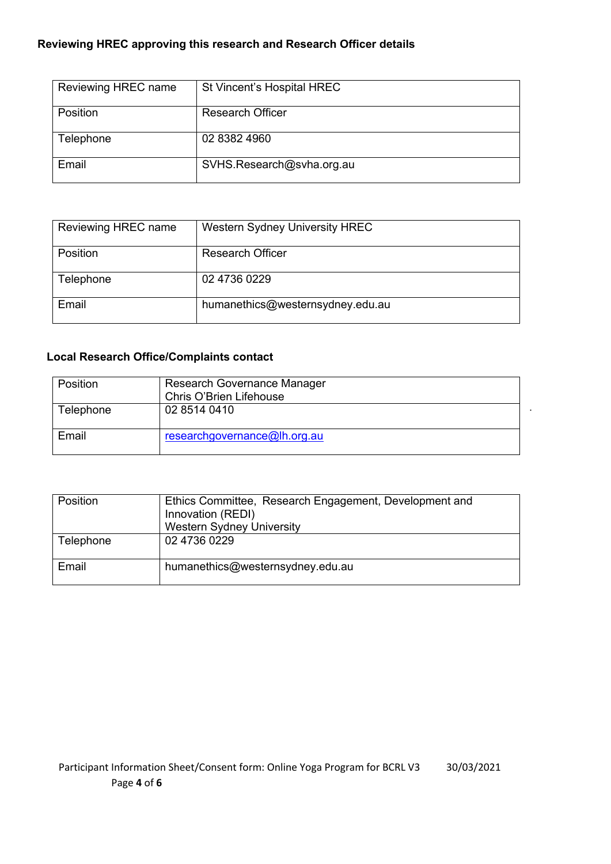## **Reviewing HREC approving this research and Research Officer details**

| Reviewing HREC name | St Vincent's Hospital HREC |
|---------------------|----------------------------|
| Position            | <b>Research Officer</b>    |
| Telephone           | 02 8382 4960               |
| Email               | SVHS.Research@svha.org.au  |

| Reviewing HREC name | <b>Western Sydney University HREC</b> |
|---------------------|---------------------------------------|
| Position            | <b>Research Officer</b>               |
| Telephone           | 02 4736 0229                          |
| Email               | humanethics@westernsydney.edu.au      |

# **Local Research Office/Complaints contact**

| Position  | Research Governance Manager<br>Chris O'Brien Lifehouse |
|-----------|--------------------------------------------------------|
| Telephone | 02 8514 0410                                           |
| Email     | researchgovernance@lh.org.au                           |

.

| <b>Position</b> | Ethics Committee, Research Engagement, Development and<br>Innovation (REDI)<br><b>Western Sydney University</b> |
|-----------------|-----------------------------------------------------------------------------------------------------------------|
| Telephone       | 02 4736 0229                                                                                                    |
| Email           | humanethics@westernsydney.edu.au                                                                                |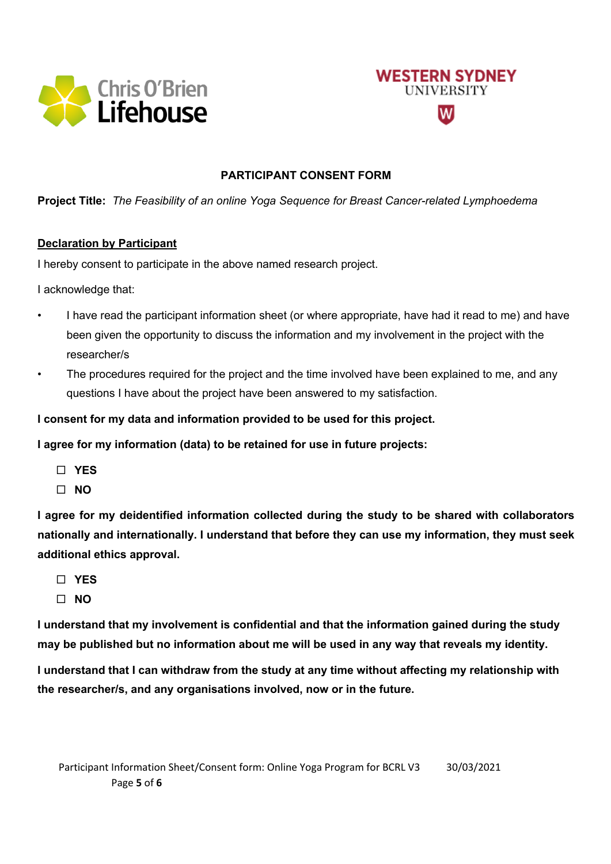



## **PARTICIPANT CONSENT FORM**

**Project Title:** *The Feasibility of an online Yoga Sequence for Breast Cancer-related Lymphoedema*

### **Declaration by Participant**

I hereby consent to participate in the above named research project.

I acknowledge that:

- I have read the participant information sheet (or where appropriate, have had it read to me) and have been given the opportunity to discuss the information and my involvement in the project with the researcher/s
- The procedures required for the project and the time involved have been explained to me, and any questions I have about the project have been answered to my satisfaction.

**I consent for my data and information provided to be used for this project.**

**I agree for my information (data) to be retained for use in future projects:**

- ¨ **YES**
- ¨ **NO**

**I agree for my deidentified information collected during the study to be shared with collaborators nationally and internationally. I understand that before they can use my information, they must seek additional ethics approval.**

- ¨ **YES**
- ¨ **NO**

**I understand that my involvement is confidential and that the information gained during the study may be published but no information about me will be used in any way that reveals my identity.**

**I understand that I can withdraw from the study at any time without affecting my relationship with the researcher/s, and any organisations involved, now or in the future.**